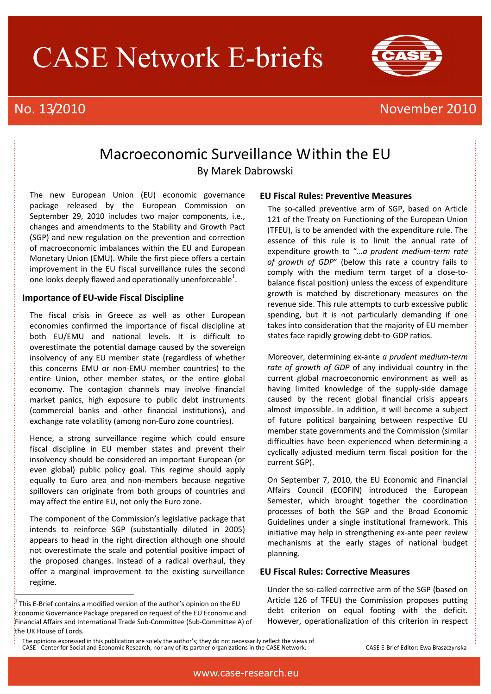# CASE Network E-briefs



# No. 13/2010 November 2010

# Macroeconomic Surveillance Within the EU By Marek Dabrowski

The new European Union (EU) economic governance package released by the European Commission on September 29, 2010 includes two major components, i.e., changes and amendments to the Stability and Growth Pact (SGP) and new regulation on the prevention and correction of macroeconomic imbalances within the EU and European Monetary Union (EMU). While the first piece offers a certain improvement in the EU fiscal surveillance rules the second one looks deeply flawed and operationally unenforceable<sup>1</sup>.

#### **Importance of EU-wide Fiscal Discipline**

The fiscal crisis in Greece as well as other European economies confirmed the importance of fiscal discipline at both EU/EMU and national levels. It is difficult to overestimate the potential damage caused by the sovereign insolvency of any EU member state (regardless of whether this concerns EMU or non-EMU member countries) to the entire Union, other member states, or the entire global economy. The contagion channels may involve financial market panics, high exposure to public debt instruments (commercial banks and other financial institutions), and exchange rate volatility (among non-Euro zone countries).

Hence, a strong surveillance regime which could ensure fiscal discipline in EU member states and prevent their insolvency should be considered an important European (or even global) public policy goal. This regime should apply equally to Euro area and non-members because negative spillovers can originate from both groups of countries and may affect the entire EU, not only the Euro zone.

The component of the Commission's legislative package that intends to reinforce SGP (substantially diluted in 2005) appears to head in the right direction although one should not overestimate the scale and potential positive impact of the proposed changes. Instead of a radical overhaul, they offer a marginal improvement to the existing surveillance regime.

ŀ

### **EU Fiscal Rules: Preventive Measures**

 The so-called preventive arm of SGP, based on Article 121 of the Treaty on Functioning of the European Union (TFEU), is to be amended with the expenditure rule. The essence of this rule is to limit the annual rate of expenditure growth to "…*a prudent medium-term rate of growth of GDP*" (below this rate a country fails to comply with the medium term target of a close-tobalance fiscal position) unless the excess of expenditure growth is matched by discretionary measures on the revenue side. This rule attempts to curb excessive public spending, but it is not particularly demanding if one takes into consideration that the majority of EU member states face rapidly growing debt-to-GDP ratios.

 Moreover, determining ex-ante *a prudent medium-term rate of growth of GDP* of any individual country in the current global macroeconomic environment as well as having limited knowledge of the supply-side damage caused by the recent global financial crisis appears almost impossible. In addition, it will become a subject of future political bargaining between respective EU member state governments and the Commission (similar difficulties have been experienced when determining a cyclically adjusted medium term fiscal position for the current SGP).

On September 7, 2010, the EU Economic and Financial Affairs Council (ECOFIN) introduced the European Semester, which brought together the coordination processes of both the SGP and the Broad Economic Guidelines under a single institutional framework. This initiative may help in strengthening ex-ante peer review mechanisms at the early stages of national budget planning.

#### **EU Fiscal Rules: Corrective Measures**

Under the so-called corrective arm of the SGP (based on Article 126 of TFEU) the Commission proposes putting debt criterion on equal footing with the deficit. However, operationalization of this criterion in respect

 $\frac{1}{2}$  This E-Brief contains a modified version of the author's opinion on the EU Economic Governance Package prepared on request of the EU Economic and Financial Affairs and International Trade Sub-Committee (Sub-Committee A) of the UK House of Lords.

The opinions expressed in this publication are solely the author's; they do not necessarily reflect the views of CASE - Center for Social and Economic Research, nor any of its partner organizations in the CASE Network. CASE E-Brief Editor: Ewa Błaszczynska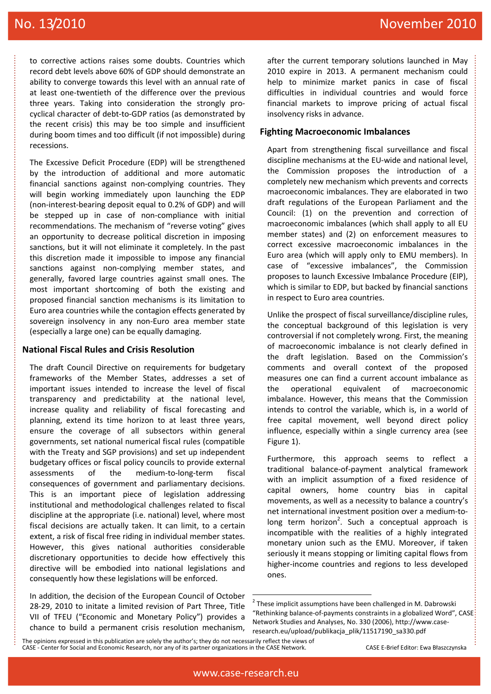to corrective actions raises some doubts. Countries which record debt levels above 60% of GDP should demonstrate an ability to converge towards this level with an annual rate of at least one-twentieth of the difference over the previous three years. Taking into consideration the strongly procyclical character of debt-to-GDP ratios (as demonstrated by the recent crisis) this may be too simple and insufficient during boom times and too difficult (if not impossible) during recessions.

The Excessive Deficit Procedure (EDP) will be strengthened by the introduction of additional and more automatic financial sanctions against non-complying countries. They will begin working immediately upon launching the EDP (non-interest-bearing deposit equal to 0.2% of GDP) and will be stepped up in case of non-compliance with initial recommendations. The mechanism of "reverse voting" gives an opportunity to decrease political discretion in imposing sanctions, but it will not eliminate it completely. In the past this discretion made it impossible to impose any financial sanctions against non-complying member states, and generally, favored large countries against small ones. The most important shortcoming of both the existing and proposed financial sanction mechanisms is its limitation to Euro area countries while the contagion effects generated by sovereign insolvency in any non-Euro area member state (especially a large one) can be equally damaging.

## **National Fiscal Rules and Crisis Resolution**

The draft Council Directive on requirements for budgetary frameworks of the Member States, addresses a set of important issues intended to increase the level of fiscal transparency and predictability at the national level, increase quality and reliability of fiscal forecasting and planning, extend its time horizon to at least three years, ensure the coverage of all subsectors within general governments, set national numerical fiscal rules (compatible with the Treaty and SGP provisions) and set up independent budgetary offices or fiscal policy councils to provide external assessments of the medium-to-long-term fiscal consequences of government and parliamentary decisions. This is an important piece of legislation addressing institutional and methodological challenges related to fiscal discipline at the appropriate (i.e. national) level, where most fiscal decisions are actually taken. It can limit, to a certain extent, a risk of fiscal free riding in individual member states. However, this gives national authorities considerable discretionary opportunities to decide how effectively this directive will be embodied into national legislations and consequently how these legislations will be enforced.

In addition, the decision of the European Council of October 28-29, 2010 to initate a limited revision of Part Three, Title VII of TFEU ("Economic and Monetary Policy") provides a chance to build a permanent crisis resolution mechanism,

after the current temporary solutions launched in May 2010 expire in 2013. A permanent mechanism could help to minimize market panics in case of fiscal difficulties in individual countries and would force financial markets to improve pricing of actual fiscal insolvency risks in advance.

#### **Fighting Macroeconomic Imbalances**

Apart from strengthening fiscal surveillance and fiscal discipline mechanisms at the EU-wide and national level, the Commission proposes the introduction of a completely new mechanism which prevents and corrects macroeconomic imbalances. They are elaborated in two draft regulations of the European Parliament and the Council: (1) on the prevention and correction of macroeconomic imbalances (which shall apply to all EU member states) and (2) on enforcement measures to correct excessive macroeconomic imbalances in the Euro area (which will apply only to EMU members). In case of "excessive imbalances", the Commission proposes to launch Excessive Imbalance Procedure (EIP), which is similar to EDP, but backed by financial sanctions in respect to Euro area countries.

Unlike the prospect of fiscal surveillance/discipline rules, the conceptual background of this legislation is very controversial if not completely wrong. First, the meaning of macroeconomic imbalance is not clearly defined in the draft legislation. Based on the Commission's comments and overall context of the proposed measures one can find a current account imbalance as the operational equivalent of macroeconomic imbalance. However, this means that the Commission intends to control the variable, which is, in a world of free capital movement, well beyond direct policy influence, especially within a single currency area (see Figure 1).

Furthermore, this approach seems to reflect a traditional balance-of-payment analytical framework with an implicit assumption of a fixed residence of capital owners, home country bias in capital movements, as well as a necessity to balance a country's net international investment position over a medium-tolong term horizon<sup>2</sup>. Such a conceptual approach is incompatible with the realities of a highly integrated monetary union such as the EMU. Moreover, if taken seriously it means stopping or limiting capital flows from higher-income countries and regions to less developed ones.

The opinions expressed in this publication are solely the author's; they do not necessarily reflect the views of CASE - Center for Social and Economic Research, nor any of its partner organizations in the CASE Network. CASE E-Brief Editor: Ewa Błaszczynska

l

 $2$  These implicit assumptions have been challenged in M. Dabrowski "Rethinking balance-of-payments constraints in a globalized Word", CASE Network Studies and Analyses, No. 330 (2006), http://www.caseresearch.eu/upload/publikacja\_plik/11517190\_sa330.pdf